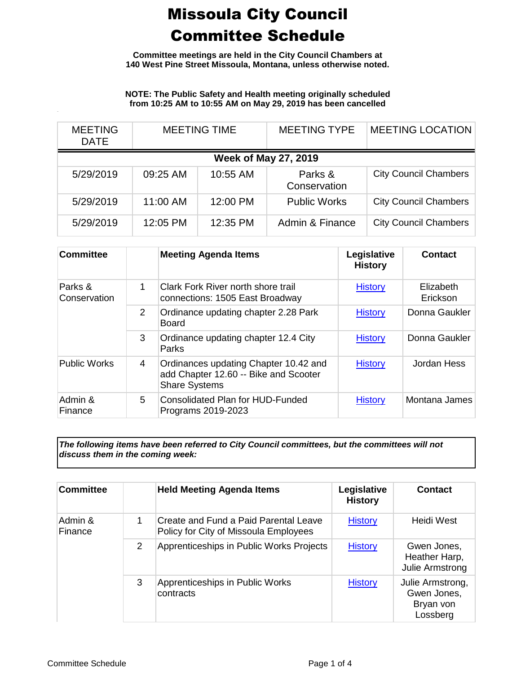**Committee meetings are held in the City Council Chambers at 140 West Pine Street Missoula, Montana, unless otherwise noted.**

**NOTE: The Public Safety and Health meeting originally scheduled from 10:25 AM to 10:55 AM on May 29, 2019 has been cancelled**

| <b>MEETING</b><br>DATE      | <b>MEETING TIME</b> |          | <b>MEETING TYPE</b>     | <b>MEETING LOCATION</b>      |  |
|-----------------------------|---------------------|----------|-------------------------|------------------------------|--|
| <b>Week of May 27, 2019</b> |                     |          |                         |                              |  |
| 5/29/2019                   | 09:25 AM            | 10:55 AM | Parks &<br>Conservation | <b>City Council Chambers</b> |  |
| 5/29/2019                   | 11:00 AM            | 12:00 PM | <b>Public Works</b>     | <b>City Council Chambers</b> |  |
| 5/29/2019                   | 12:05 PM            | 12:35 PM | Admin & Finance         | <b>City Council Chambers</b> |  |

| <b>Committee</b>        |                | <b>Meeting Agenda Items</b>                                                                            | Legislative<br><b>History</b> | Contact               |
|-------------------------|----------------|--------------------------------------------------------------------------------------------------------|-------------------------------|-----------------------|
| Parks &<br>Conservation | 1              | Clark Fork River north shore trail<br>connections: 1505 East Broadway                                  | <b>History</b>                | Elizabeth<br>Erickson |
|                         | $\overline{2}$ | Ordinance updating chapter 2.28 Park<br><b>Board</b>                                                   | <b>History</b>                | Donna Gaukler         |
|                         | 3              | Ordinance updating chapter 12.4 City<br>Parks                                                          | <b>History</b>                | Donna Gaukler         |
| <b>Public Works</b>     | 4              | Ordinances updating Chapter 10.42 and<br>add Chapter 12.60 -- Bike and Scooter<br><b>Share Systems</b> | <b>History</b>                | Jordan Hess           |
| Admin &<br>Finance      | 5              | Consolidated Plan for HUD-Funded<br>Programs 2019-2023                                                 | <b>History</b>                | Montana James         |

*The following items have been referred to City Council committees, but the committees will not discuss them in the coming week:*

| <b>Committee</b>   |   | <b>Held Meeting Agenda Items</b>                                               | Legislative<br><b>History</b> | Contact                                                  |
|--------------------|---|--------------------------------------------------------------------------------|-------------------------------|----------------------------------------------------------|
| Admin &<br>Finance | 1 | Create and Fund a Paid Parental Leave<br>Policy for City of Missoula Employees | <b>History</b>                | Heidi West                                               |
|                    | 2 | Apprenticeships in Public Works Projects                                       | <b>History</b>                | Gwen Jones,<br>Heather Harp,<br>Julie Armstrong          |
|                    | 3 | Apprenticeships in Public Works<br>contracts                                   | <b>History</b>                | Julie Armstrong,<br>Gwen Jones,<br>Bryan von<br>Lossberg |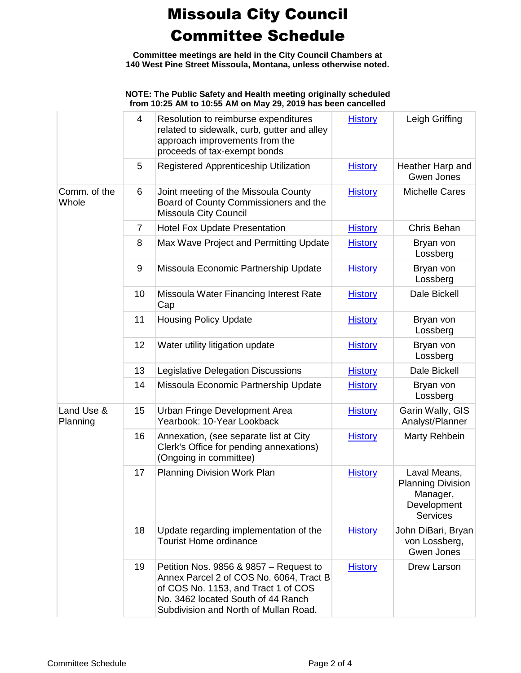**Committee meetings are held in the City Council Chambers at 140 West Pine Street Missoula, Montana, unless otherwise noted.**

#### **NOTE: The Public Safety and Health meeting originally scheduled from 10:25 AM to 10:55 AM on May 29, 2019 has been cancelled**

|                        | 4  | Resolution to reimburse expenditures<br>related to sidewalk, curb, gutter and alley<br>approach improvements from the<br>proceeds of tax-exempt bonds                                                   | <b>History</b> | Leigh Griffing                                                                         |
|------------------------|----|---------------------------------------------------------------------------------------------------------------------------------------------------------------------------------------------------------|----------------|----------------------------------------------------------------------------------------|
|                        | 5  | Registered Apprenticeship Utilization                                                                                                                                                                   | <b>History</b> | Heather Harp and<br>Gwen Jones                                                         |
| Comm. of the<br>Whole  | 6  | Joint meeting of the Missoula County<br>Board of County Commissioners and the<br>Missoula City Council                                                                                                  | <b>History</b> | <b>Michelle Cares</b>                                                                  |
|                        | 7  | <b>Hotel Fox Update Presentation</b>                                                                                                                                                                    | <b>History</b> | Chris Behan                                                                            |
|                        | 8  | Max Wave Project and Permitting Update                                                                                                                                                                  | <b>History</b> | Bryan von<br>Lossberg                                                                  |
|                        | 9  | Missoula Economic Partnership Update                                                                                                                                                                    | <b>History</b> | Bryan von<br>Lossberg                                                                  |
|                        | 10 | Missoula Water Financing Interest Rate<br>Cap                                                                                                                                                           | <b>History</b> | Dale Bickell                                                                           |
|                        | 11 | <b>Housing Policy Update</b>                                                                                                                                                                            | <b>History</b> | Bryan von<br>Lossberg                                                                  |
|                        | 12 | Water utility litigation update                                                                                                                                                                         | <b>History</b> | Bryan von<br>Lossberg                                                                  |
|                        | 13 | Legislative Delegation Discussions                                                                                                                                                                      | <b>History</b> | Dale Bickell                                                                           |
|                        | 14 | Missoula Economic Partnership Update                                                                                                                                                                    | <b>History</b> | Bryan von<br>Lossberg                                                                  |
| Land Use &<br>Planning | 15 | Urban Fringe Development Area<br>Yearbook: 10-Year Lookback                                                                                                                                             | <b>History</b> | Garin Wally, GIS<br>Analyst/Planner                                                    |
|                        | 16 | Annexation, (see separate list at City<br>Clerk's Office for pending annexations)<br>(Ongoing in committee)                                                                                             | <b>History</b> | Marty Rehbein                                                                          |
|                        | 17 | <b>Planning Division Work Plan</b>                                                                                                                                                                      | <b>History</b> | Laval Means,<br><b>Planning Division</b><br>Manager,<br>Development<br><b>Services</b> |
|                        | 18 | Update regarding implementation of the<br><b>Tourist Home ordinance</b>                                                                                                                                 | <b>History</b> | John DiBari, Bryan<br>von Lossberg,<br>Gwen Jones                                      |
|                        | 19 | Petition Nos. 9856 & 9857 – Request to<br>Annex Parcel 2 of COS No. 6064, Tract B<br>of COS No. 1153, and Tract 1 of COS<br>No. 3462 located South of 44 Ranch<br>Subdivision and North of Mullan Road. | <b>History</b> | Drew Larson                                                                            |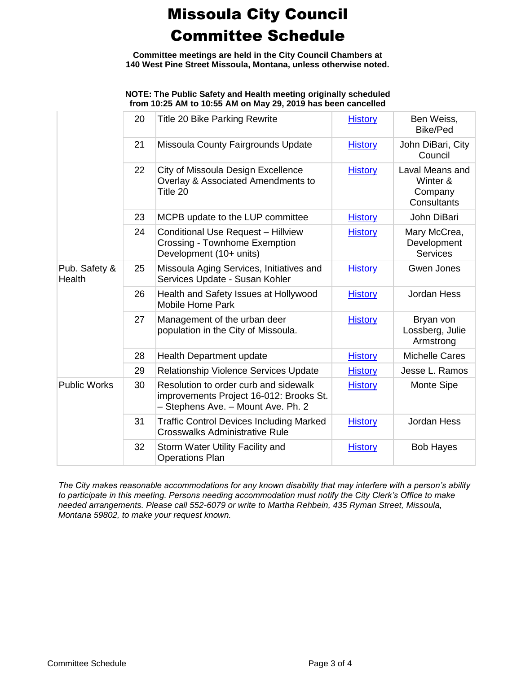**Committee meetings are held in the City Council Chambers at 140 West Pine Street Missoula, Montana, unless otherwise noted.**

#### **NOTE: The Public Safety and Health meeting originally scheduled from 10:25 AM to 10:55 AM on May 29, 2019 has been cancelled**

|                         | 20 | <b>Title 20 Bike Parking Rewrite</b>                                                                                   | <b>History</b> | Ben Weiss,<br>Bike/Ped                                |
|-------------------------|----|------------------------------------------------------------------------------------------------------------------------|----------------|-------------------------------------------------------|
|                         | 21 | Missoula County Fairgrounds Update                                                                                     | <b>History</b> | John DiBari, City<br>Council                          |
|                         | 22 | City of Missoula Design Excellence<br>Overlay & Associated Amendments to<br>Title 20                                   | <b>History</b> | Laval Means and<br>Winter &<br>Company<br>Consultants |
|                         | 23 | MCPB update to the LUP committee                                                                                       | <b>History</b> | John DiBari                                           |
|                         | 24 | <b>Conditional Use Request - Hillview</b><br><b>Crossing - Townhome Exemption</b><br>Development (10+ units)           | <b>History</b> | Mary McCrea,<br>Development<br><b>Services</b>        |
| Pub. Safety &<br>Health | 25 | Missoula Aging Services, Initiatives and<br>Services Update - Susan Kohler                                             | <b>History</b> | Gwen Jones                                            |
|                         | 26 | Health and Safety Issues at Hollywood<br><b>Mobile Home Park</b>                                                       | <b>History</b> | Jordan Hess                                           |
|                         | 27 | Management of the urban deer<br>population in the City of Missoula.                                                    | <b>History</b> | Bryan von<br>Lossberg, Julie<br>Armstrong             |
|                         | 28 | <b>Health Department update</b>                                                                                        | <b>History</b> | <b>Michelle Cares</b>                                 |
|                         | 29 | Relationship Violence Services Update                                                                                  | <b>History</b> | Jesse L. Ramos                                        |
| <b>Public Works</b>     | 30 | Resolution to order curb and sidewalk<br>improvements Project 16-012: Brooks St.<br>- Stephens Ave. - Mount Ave. Ph. 2 | <b>History</b> | Monte Sipe                                            |
|                         | 31 | <b>Traffic Control Devices Including Marked</b><br><b>Crosswalks Administrative Rule</b>                               | <b>History</b> | Jordan Hess                                           |
|                         | 32 | Storm Water Utility Facility and<br><b>Operations Plan</b>                                                             | <b>History</b> | <b>Bob Hayes</b>                                      |

*The City makes reasonable accommodations for any known disability that may interfere with a person's ability to participate in this meeting. Persons needing accommodation must notify the City Clerk's Office to make needed arrangements. Please call 552-6079 or write to Martha Rehbein, 435 Ryman Street, Missoula, Montana 59802, to make your request known.*